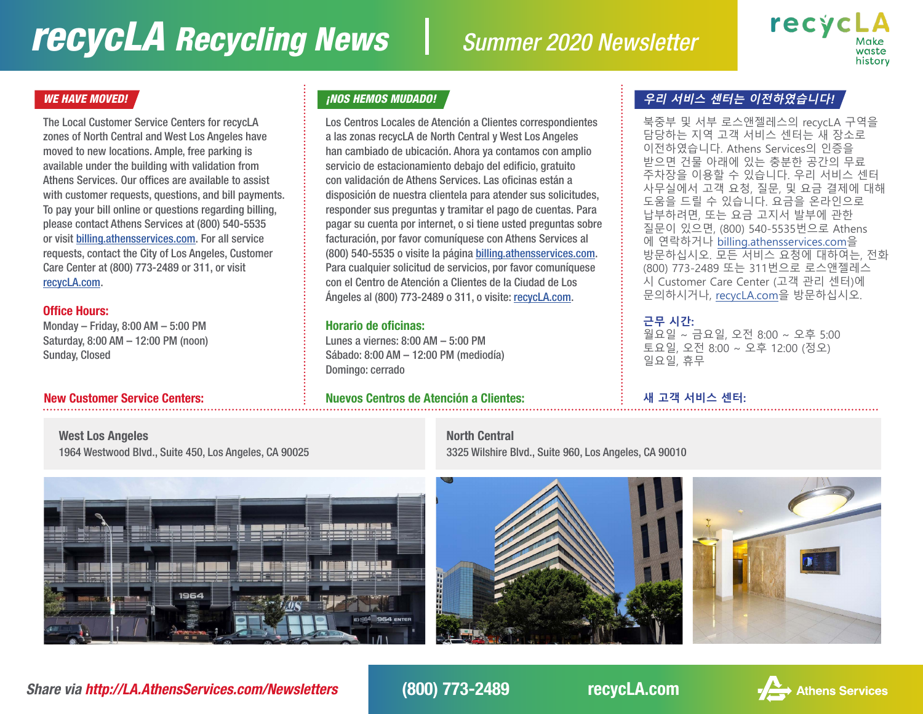# *recycLA Recycling News Summer 2020 Newsletter*



The Local Customer Service Centers for recycLA zones of North Central and West Los Angeles have moved to new locations. Ample, free parking is available under the building with validation from Athens Services. Our offices are available to assist with customer requests, questions, and bill payments. To pay your bill online or questions regarding billing, please contact Athens Services at (800) 540-5535 or visit [billing.athensservices.com.](http://billing.athensservices.com) For all service requests, contact the City of Los Angeles, Customer Care Center at (800) 773-2489 or 311, or visit [recycLA.com](http://recycLA.com).

### Office Hours:

Monday – Friday, 8:00 AM – 5:00 PM Saturday, 8:00 AM – 12:00 PM (noon) Sunday, Closed

Los Centros Locales de Atención a Clientes correspondientes a las zonas recycLA de North Central y West Los Angeles han cambiado de ubicación. Ahora ya contamos con amplio servicio de estacionamiento debajo del edificio, gratuito con validación de Athens Services. Las oficinas están a disposición de nuestra clientela para atender sus solicitudes, responder sus preguntas y tramitar el pago de cuentas. Para pagar su cuenta por internet, o si tiene usted preguntas sobre facturación, por favor comuníquese con Athens Services al (800) 540-5535 o visite la página [billing.athensservices.com.](http://billing.athensservices.com) Para cualquier solicitud de servicios, por favor comuníquese con el Centro de Atención a Clientes de la Ciudad de Los Ángeles al (800) 773-2489 o 311, o visite: [recycLA.com](http://recycLA.com).

### Horario de oficinas:

Lunes a viernes: 8:00 AM – 5:00 PM Sábado: 8:00 AM – 12:00 PM (mediodía) Domingo: cerrado

### New Customer Service Centers: Nuevos Centros de Atención a Clientes: **새 고객 서비스 센터:**

### WE HAVE MOVED! <mark>, And Move we want to the control of the state of the state of the state of the state of the state of the state of the state of the state of the state of the state of the state of the state of the state of</mark>

북중부 및 서부 로스앤젤레스의 recycLA 구역을 담당하는 지역 고객 서비스 센터는 새 장소로 이전하였습니다. Athens Services의 인증을 받으면 건물 아래에 있는 충분한 공간의 무료 주차장을 이용할 수 있습니다. 우리 서비스 센터 사무실에서 고객 요청, 질문, 및 요금 결제에 대해 도움을 드릴 수 있습니다. 요금을 온라인으로 납부하려면, 또는 요금 고지서 발부에 관한 질문이 있으면, (800) 540-5535번으로 Athens 에 연락하거나 [billing.athensservices.com](http://billing.athensservices.com)을 방문하십시오. 모든 서비스 요청에 대하여는, 전화 (800) 773-2489 또는 311번으로 로스앤젤레스 시 Customer Care Center (고객 관리 센터)에 문의하시거나, [recycLA.com을](http://recycLA.com) 방문하십시오.

### **근무 시간:**

월요일 ~ 금요일, 오전 8:00 ~ 오후 5:00 토요일, 오전 8:00 ~ 오후 12:00 (정오) 일요일, 휴무

West Los Angeles 1964 Westwood Blvd., Suite 450, Los Angeles, CA 90025



North Central 3325 Wilshire Blvd., Suite 960, Los Angeles, CA 90010



*Share via http://LA.AthensServices.com/Newsletters* (800) 773-2489 recycLA.com